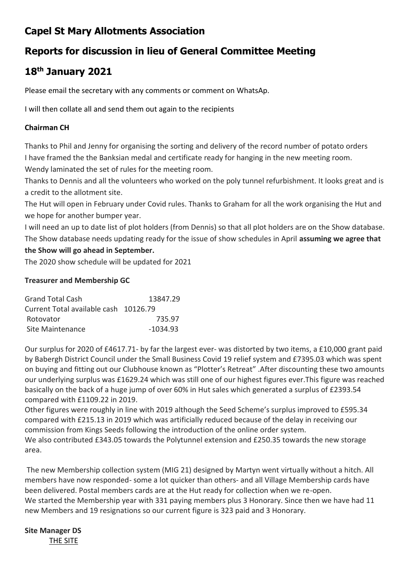# **Capel St Mary Allotments Association**

# **Reports for discussion in lieu of General Committee Meeting**

# **18th January 2021**

Please email the secretary with any comments or comment on WhatsAp.

I will then collate all and send them out again to the recipients

### **Chairman CH**

Thanks to Phil and Jenny for organising the sorting and delivery of the record number of potato orders I have framed the the Banksian medal and certificate ready for hanging in the new meeting room. Wendy laminated the set of rules for the meeting room.

Thanks to Dennis and all the volunteers who worked on the poly tunnel refurbishment. It looks great and is a credit to the allotment site.

The Hut will open in February under Covid rules. Thanks to Graham for all the work organising the Hut and we hope for another bumper year.

I will need an up to date list of plot holders (from Dennis) so that all plot holders are on the Show database. The Show database needs updating ready for the issue of show schedules in April **assuming we agree that** 

### **the Show will go ahead in September.**

The 2020 show schedule will be updated for 2021

#### **Treasurer and Membership GC**

| <b>Grand Total Cash</b>               | 13847.29   |
|---------------------------------------|------------|
| Current Total available cash 10126.79 |            |
| Rotovator                             | 735.97     |
| Site Maintenance                      | $-1034.93$ |

Our surplus for 2020 of £4617.71- by far the largest ever- was distorted by two items, a £10,000 grant paid by Babergh District Council under the Small Business Covid 19 relief system and £7395.03 which was spent on buying and fitting out our Clubhouse known as "Plotter's Retreat" .After discounting these two amounts our underlying surplus was £1629.24 which was still one of our highest figures ever.This figure was reached basically on the back of a huge jump of over 60% in Hut sales which generated a surplus of £2393.54 compared with £1109.22 in 2019.

Other figures were roughly in line with 2019 although the Seed Scheme's surplus improved to £595.34 compared with £215.13 in 2019 which was artificially reduced because of the delay in receiving our commission from Kings Seeds following the introduction of the online order system. We also contributed £343.05 towards the Polytunnel extension and £250.35 towards the new storage area.

The new Membership collection system (MIG 21) designed by Martyn went virtually without a hitch. All members have now responded- some a lot quicker than others- and all Village Membership cards have been delivered. Postal members cards are at the Hut ready for collection when we re-open. We started the Membership year with 331 paying members plus 3 Honorary. Since then we have had 11 new Members and 19 resignations so our current figure is 323 paid and 3 Honorary.

#### **Site Manager DS** THE SITE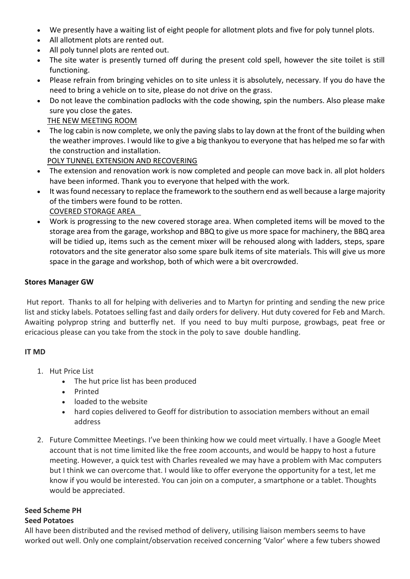- We presently have a waiting list of eight people for allotment plots and five for poly tunnel plots.
- All allotment plots are rented out.
- All poly tunnel plots are rented out.
- The site water is presently turned off during the present cold spell, however the site toilet is still functioning.
- Please refrain from bringing vehicles on to site unless it is absolutely, necessary. If you do have the need to bring a vehicle on to site, please do not drive on the grass.
- Do not leave the combination padlocks with the code showing, spin the numbers. Also please make sure you close the gates.

### THE NEW MEETING ROOM

• The log cabin is now complete, we only the paving slabs to lay down at the front of the building when the weather improves. I would like to give a big thankyou to everyone that has helped me so far with the construction and installation.

POLY TUNNEL EXTENSION AND RECOVERING

- The extension and renovation work is now completed and people can move back in. all plot holders have been informed. Thank you to everyone that helped with the work.
- It was found necessary to replace the framework to the southern end as well because a large majority of the timbers were found to be rotten. COVERED STORAGE AREA
- Work is progressing to the new covered storage area. When completed items will be moved to the storage area from the garage, workshop and BBQ to give us more space for machinery, the BBQ area will be tidied up, items such as the cement mixer will be rehoused along with ladders, steps, spare rotovators and the site generator also some spare bulk items of site materials. This will give us more space in the garage and workshop, both of which were a bit overcrowded.

### **Stores Manager GW**

Hut report. Thanks to all for helping with deliveries and to Martyn for printing and sending the new price list and sticky labels. Potatoes selling fast and daily orders for delivery. Hut duty covered for Feb and March. Awaiting polyprop string and butterfly net. If you need to buy multi purpose, growbags, peat free or ericacious please can you take from the stock in the poly to save double handling.

### **IT MD**

- 1. Hut Price List
	- The hut price list has been produced
	- Printed
	- loaded to the website
	- hard copies delivered to Geoff for distribution to association members without an email address
- 2. Future Committee Meetings. I've been thinking how we could meet virtually. I have a Google Meet account that is not time limited like the free zoom accounts, and would be happy to host a future meeting. However, a quick test with Charles revealed we may have a problem with Mac computers but I think we can overcome that. I would like to offer everyone the opportunity for a test, let me know if you would be interested. You can join on a computer, a smartphone or a tablet. Thoughts would be appreciated.

### **Seed Scheme PH**

### **Seed Potatoes**

All have been distributed and the revised method of delivery, utilising liaison members seems to have worked out well. Only one complaint/observation received concerning 'Valor' where a few tubers showed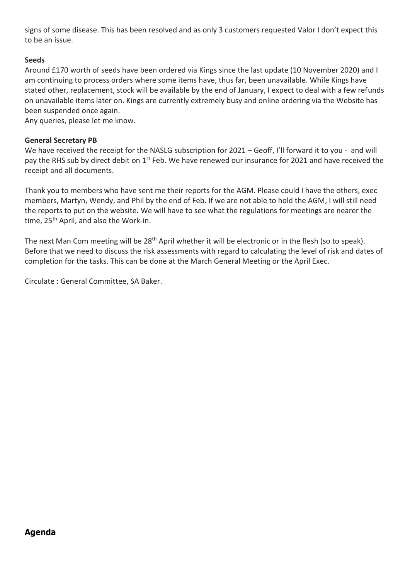signs of some disease. This has been resolved and as only 3 customers requested Valor I don't expect this to be an issue.

### **Seeds**

Around £170 worth of seeds have been ordered via Kings since the last update (10 November 2020) and I am continuing to process orders where some items have, thus far, been unavailable. While Kings have stated other, replacement, stock will be available by the end of January, I expect to deal with a few refunds on unavailable items later on. Kings are currently extremely busy and online ordering via the Website has been suspended once again.

Any queries, please let me know.

#### **General Secretary PB**

We have received the receipt for the NASLG subscription for 2021 – Geoff, I'll forward it to you - and will pay the RHS sub by direct debit on 1<sup>st</sup> Feb. We have renewed our insurance for 2021 and have received the receipt and all documents.

Thank you to members who have sent me their reports for the AGM. Please could I have the others, exec members, Martyn, Wendy, and Phil by the end of Feb. If we are not able to hold the AGM, I will still need the reports to put on the website. We will have to see what the regulations for meetings are nearer the time, 25<sup>th</sup> April, and also the Work-in.

The next Man Com meeting will be 28<sup>th</sup> April whether it will be electronic or in the flesh (so to speak). Before that we need to discuss the risk assessments with regard to calculating the level of risk and dates of completion for the tasks. This can be done at the March General Meeting or the April Exec.

Circulate : General Committee, SA Baker.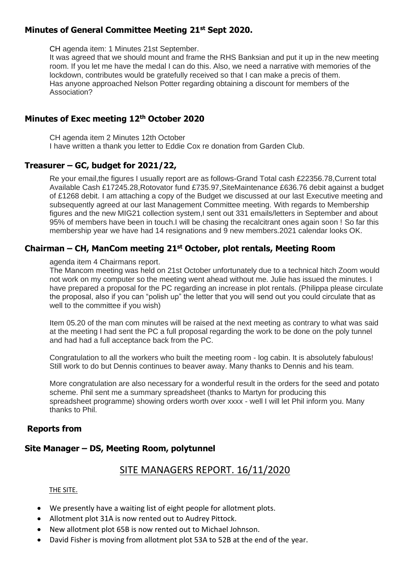### **Minutes of General Committee Meeting 21st Sept 2020.**

CH agenda item: 1 Minutes 21st September.

It was agreed that we should mount and frame the RHS Banksian and put it up in the new meeting room. If you let me have the medal I can do this. Also, we need a narrative with memories of the lockdown, contributes would be gratefully received so that I can make a precis of them. Has anyone approached Nelson Potter regarding obtaining a discount for members of the Association?

### **Minutes of Exec meeting 12th October 2020**

CH agenda item 2 Minutes 12th October I have written a thank you letter to Eddie Cox re donation from Garden Club.

### **Treasurer – GC, budget for 2021/22,**

Re your email,the figures I usually report are as follows-Grand Total cash £22356.78,Current total Available Cash £17245.28,Rotovator fund £735.97,SiteMaintenance £636.76 debit against a budget of £1268 debit. I am attaching a copy of the Budget we discussed at our last Executive meeting and subsequently agreed at our last Management Committee meeting. With regards to Membership figures and the new MIG21 collection system,I sent out 331 emails/letters in September and about 95% of members have been in touch.I will be chasing the recalcitrant ones again soon ! So far this membership year we have had 14 resignations and 9 new members.2021 calendar looks OK.

### **Chairman – CH, ManCom meeting 21st October, plot rentals, Meeting Room**

agenda item 4 Chairmans report.

The Mancom meeting was held on 21st October unfortunately due to a technical hitch Zoom would not work on my computer so the meeting went ahead without me. Julie has issued the minutes. I have prepared a proposal for the PC regarding an increase in plot rentals. (Philippa please circulate the proposal, also if you can "polish up" the letter that you will send out you could circulate that as well to the committee if you wish)

Item 05.20 of the man com minutes will be raised at the next meeting as contrary to what was said at the meeting I had sent the PC a full proposal regarding the work to be done on the poly tunnel and had had a full acceptance back from the PC.

Congratulation to all the workers who built the meeting room - log cabin. It is absolutely fabulous! Still work to do but Dennis continues to beaver away. Many thanks to Dennis and his team.

More congratulation are also necessary for a wonderful result in the orders for the seed and potato scheme. Phil sent me a summary spreadsheet (thanks to Martyn for producing this spreadsheet programme) showing orders worth over xxxx - well I will let Phil inform you. Many thanks to Phil.

### **Reports from**

## **Site Manager – DS, Meeting Room, polytunnel**

## SITE MANAGERS REPORT. 16/11/2020

#### THE SITE.

- We presently have a waiting list of eight people for allotment plots.
- Allotment plot 31A is now rented out to Audrey Pittock.
- New allotment plot 65B is now rented out to Michael Johnson.
- David Fisher is moving from allotment plot 53A to 52B at the end of the year.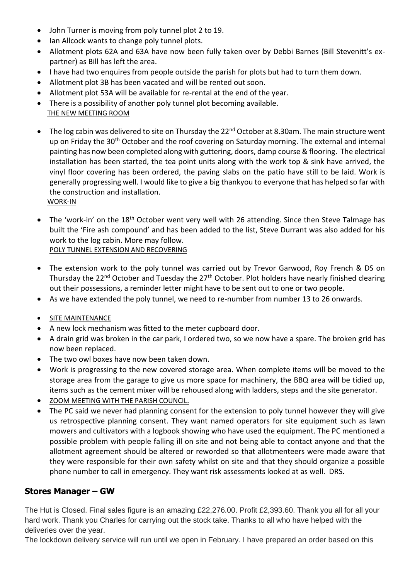- John Turner is moving from poly tunnel plot 2 to 19.
- Ian Allcock wants to change poly tunnel plots.
- Allotment plots 62A and 63A have now been fully taken over by Debbi Barnes (Bill Stevenitt's expartner) as Bill has left the area.
- I have had two enquires from people outside the parish for plots but had to turn them down.
- Allotment plot 3B has been vacated and will be rented out soon.
- Allotment plot 53A will be available for re-rental at the end of the year.
- There is a possibility of another poly tunnel plot becoming available.
- THE NEW MEETING ROOM
- The log cabin was delivered to site on Thursday the 22<sup>nd</sup> October at 8.30am. The main structure went up on Friday the 30<sup>th</sup> October and the roof covering on Saturday morning. The external and internal painting has now been completed along with guttering, doors, damp course & flooring. The electrical installation has been started, the tea point units along with the work top & sink have arrived, the vinyl floor covering has been ordered, the paving slabs on the patio have still to be laid. Work is generally progressing well. I would like to give a big thankyou to everyone that has helped so far with the construction and installation. WORK-IN
- The 'work-in' on the 18<sup>th</sup> October went very well with 26 attending. Since then Steve Talmage has built the 'Fire ash compound' and has been added to the list, Steve Durrant was also added for his work to the log cabin. More may follow. POLY TUNNEL EXTENSION AND RECOVERING
- The extension work to the poly tunnel was carried out by Trevor Garwood, Roy French & DS on Thursday the 22<sup>nd</sup> October and Tuesday the 27<sup>th</sup> October. Plot holders have nearly finished clearing out their possessions, a reminder letter might have to be sent out to one or two people.
- As we have extended the poly tunnel, we need to re-number from number 13 to 26 onwards.
- SITE MAINTENANCE
- A new lock mechanism was fitted to the meter cupboard door.
- A drain grid was broken in the car park, I ordered two, so we now have a spare. The broken grid has now been replaced.
- The two owl boxes have now been taken down.
- Work is progressing to the new covered storage area. When complete items will be moved to the storage area from the garage to give us more space for machinery, the BBQ area will be tidied up, items such as the cement mixer will be rehoused along with ladders, steps and the site generator.
- ZOOM MEETING WITH THE PARISH COUNCIL.
- The PC said we never had planning consent for the extension to poly tunnel however they will give us retrospective planning consent. They want named operators for site equipment such as lawn mowers and cultivators with a logbook showing who have used the equipment. The PC mentioned a possible problem with people falling ill on site and not being able to contact anyone and that the allotment agreement should be altered or reworded so that allotmenteers were made aware that they were responsible for their own safety whilst on site and that they should organize a possible phone number to call in emergency. They want risk assessments looked at as well. DRS.

## **Stores Manager – GW**

The Hut is Closed. Final sales figure is an amazing £22,276.00. Profit £2,393.60. Thank you all for all your hard work. Thank you Charles for carrying out the stock take. Thanks to all who have helped with the deliveries over the year.

The lockdown delivery service will run until we open in February. I have prepared an order based on this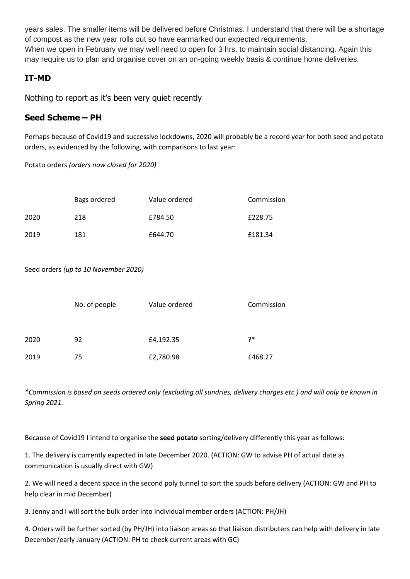years sales. The smaller items will be delivered before Christmas. I understand that there will be a shortage of compost as the new year rolls out so have earmarked our expected requirements. When we open in February we may well need to open for 3 hrs. to maintain social distancing. Again this may require us to plan and organise cover on an on-going weekly basis & continue home deliveries.

## **IT-MD**

Nothing to report as it's been very quiet recently

### **Seed Scheme – PH**

Perhaps because of Covid19 and successive lockdowns, 2020 will probably be a record year for both seed and potato orders, as evidenced by the following, with comparisons to last year:

Potato orders *(orders now closed for 2020)*

|      | Bags ordered | Value ordered | Commission |
|------|--------------|---------------|------------|
| 2020 | 218          | £784.50       | £228.75    |
| 2019 | 181          | £644.70       | £181.34    |

Seed orders *(up to 10 November 2020)*

|      | No. of people | Value ordered | Commission |
|------|---------------|---------------|------------|
|      |               |               |            |
| 2020 | 92            | £4,192.35     | ?*         |
| 2019 | 75            | £2,780.98     | £468.27    |

*\*Commission is based on seeds ordered only (excluding all sundries, delivery charges etc.) and will only be known in Spring 2021.*

Because of Covid19 I intend to organise the **seed potato** sorting/delivery differently this year as follows:

1. The delivery is currently expected in late December 2020. (ACTION: GW to advise PH of actual date as communication is usually direct with GW)

2. We will need a decent space in the second poly tunnel to sort the spuds before delivery (ACTION: GW and PH to help clear in mid December)

3. Jenny and I will sort the bulk order into individual member orders (ACTION: PH/JH)

4. Orders will be further sorted (by PH/JH) into liaison areas so that liaison distributers can help with delivery in late December/early January (ACTION: PH to check current areas with GC)